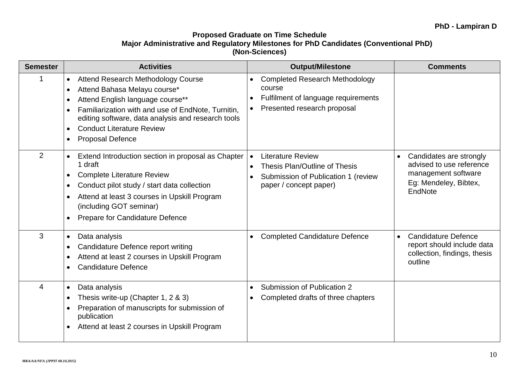## **Proposed Graduate on Time Schedule Major Administrative and Regulatory Milestones for PhD Candidates (Conventional PhD) (Non-Sciences)**

| <b>Semester</b> | <b>Activities</b>                                                                                                                                                                                                                                                                                     | <b>Output/Milestone</b>                                                                                                                 | <b>Comments</b>                                                                                                             |
|-----------------|-------------------------------------------------------------------------------------------------------------------------------------------------------------------------------------------------------------------------------------------------------------------------------------------------------|-----------------------------------------------------------------------------------------------------------------------------------------|-----------------------------------------------------------------------------------------------------------------------------|
| 1               | <b>Attend Research Methodology Course</b><br>$\bullet$<br>Attend Bahasa Melayu course*<br>Attend English language course**<br>Familiarization with and use of EndNote, Turnitin,<br>editing software, data analysis and research tools<br><b>Conduct Literature Review</b><br><b>Proposal Defence</b> | <b>Completed Research Methodology</b><br>course<br>Fulfilment of language requirements<br>Presented research proposal                   |                                                                                                                             |
| 2               | Extend Introduction section in proposal as Chapter<br>1 draft<br><b>Complete Literature Review</b><br>$\bullet$<br>Conduct pilot study / start data collection<br>Attend at least 3 courses in Upskill Program<br>(including GOT seminar)<br>Prepare for Candidature Defence                          | <b>Literature Review</b><br>$\bullet$<br>Thesis Plan/Outline of Thesis<br>Submission of Publication 1 (review<br>paper / concept paper) | Candidates are strongly<br>$\bullet$<br>advised to use reference<br>management software<br>Eg: Mendeley, Bibtex,<br>EndNote |
| 3               | Data analysis<br>Candidature Defence report writing<br>Attend at least 2 courses in Upskill Program<br><b>Candidature Defence</b>                                                                                                                                                                     | <b>Completed Candidature Defence</b>                                                                                                    | <b>Candidature Defence</b><br>report should include data<br>collection, findings, thesis<br>outline                         |
| 4               | Data analysis<br>Thesis write-up (Chapter 1, 2 & 3)<br>Preparation of manuscripts for submission of<br>publication<br>Attend at least 2 courses in Upskill Program                                                                                                                                    | Submission of Publication 2<br>$\bullet$<br>Completed drafts of three chapters                                                          |                                                                                                                             |